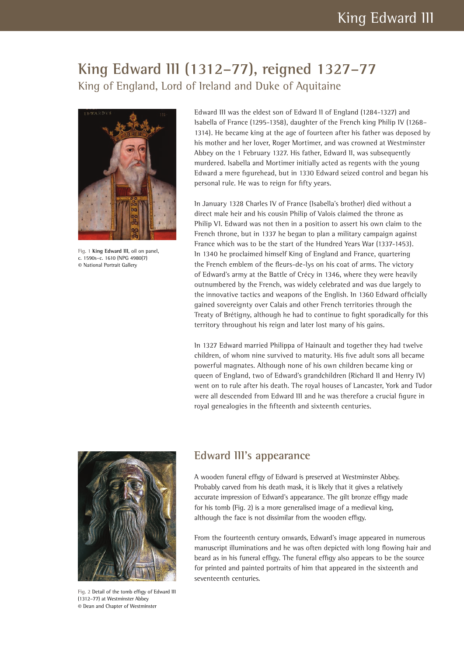## **King Edward III (1312–77), reigned 1327–77** King of England, Lord of Ireland and Duke of Aquitaine



Fig. 1 **King Edward III**, oil on panel, c. 1590s–c. 1610 (NPG 4980(7) © National Portrait Gallery

Edward III was the eldest son of Edward II of England (1284-1327) and Isabella of France (1295-1358), daughter of the French king Philip IV (1268– 1314). He became king at the age of fourteen after his father was deposed by his mother and her lover, Roger Mortimer, and was crowned at Westminster Abbey on the 1 February 1327. His father, Edward II, was subsequently murdered. Isabella and Mortimer initially acted as regents with the young Edward a mere figurehead, but in 1330 Edward seized control and began his personal rule. He was to reign for fifty years.

In January 1328 Charles IV of France (Isabella's brother) died without a direct male heir and his cousin Philip of Valois claimed the throne as Philip VI. Edward was not then in a position to assert his own claim to the French throne, but in 1337 he began to plan a military campaign against France which was to be the start of the Hundred Years War (1337-1453). In 1340 he proclaimed himself King of England and France, quartering the French emblem of the fleurs-de-lys on his coat of arms. The victory of Edward's army at the Battle of Crécy in 1346, where they were heavily outnumbered by the French, was widely celebrated and was due largely to the innovative tactics and weapons of the English. In 1360 Edward officially gained sovereignty over Calais and other French territories through the Treaty of Brétigny, although he had to continue to fight sporadically for this territory throughout his reign and later lost many of his gains.

In 1327 Edward married Philippa of Hainault and together they had twelve children, of whom nine survived to maturity. His five adult sons all became powerful magnates. Although none of his own children became king or queen of England, two of Edward's grandchildren (Richard II and Henry IV) went on to rule after his death. The royal houses of Lancaster, York and Tudor were all descended from Edward III and he was therefore a crucial figure in royal genealogies in the fifteenth and sixteenth centuries.



Fig. 2 Detail of the tomb effigy of Edward III (1312–77) at Westminster Abbey © Dean and Chapter of Westminster

## **Edward III's appearance**

A wooden funeral effigy of Edward is preserved at Westminster Abbey. Probably carved from his death mask, it is likely that it gives a relatively accurate impression of Edward's appearance. The gilt bronze effigy made for his tomb (Fig. 2) is a more generalised image of a medieval king, although the face is not dissimilar from the wooden effigy.

From the fourteenth century onwards, Edward's image appeared in numerous manuscript illuminations and he was often depicted with long flowing hair and beard as in his funeral effigy. The funeral effigy also appears to be the source for printed and painted portraits of him that appeared in the sixteenth and seventeenth centuries.